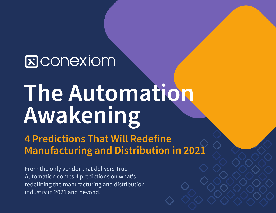# **S**CONEXIOM

# **The Automation Awakening**

**4 Predictions That Will Redefine Manufacturing and Distribution in 2021**

From the only vendor that delivers True Automation comes 4 predictions on what's redefining the manufacturing and distribution industry in 2021 and beyond.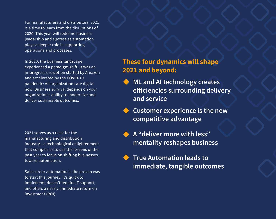For manufacturers and distributors, 2021 is a time to learn from the disruptions of 2020. This year will redefine business leadership and success as automation plays a deeper role in supporting operations and processes.

In 2020, the business landscape experienced a paradigm shift. It was an in-progress disruption started by Amazon and accelerated by the COVID-19 pandemic: All organizations are digital now. Business survival depends on your organization's ability to modernize and deliver sustainable outcomes.

2021 serves as a reset for the manufacturing and distribution industry—a technological enlightenment that compels us to use the lessons of the past year to focus on shifting businesses toward automation.

Sales order automation is the proven way to start this journey. It's quick to implement, doesn't require IT support, and offers a nearly immediate return on investment (ROI).

## **These four dynamics will shape 2021 and beyond:**

- **ML and AI technology creates efficiencies surrounding delivery and service**
	- **Customer experience is the new competitive advantage**
	- **A "deliver more with less" mentality reshapes business**
	- **True Automation leads to immediate, tangible outcomes**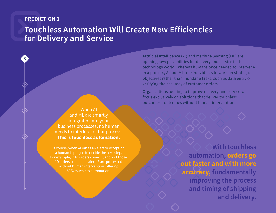**3**

## **Touchless Automation Will Create New Efficiencies for Delivery and Service**

When AI and ML are smartly integrated into your business processes, no human needs to interfere in that process. **This is touchless automation.** 

Of course, when AI raises an alert or exception, a human is pinged to decide the next step. For example, if 10 orders come in, and 2 of those 10 orders contain an alert, 8 are processed without human intervention, offering 80% touchless automation.

Artificial intelligence (AI) and machine learning (ML) are opening new possibilities for delivery and service in the technology world. Whereas humans once needed to intervene in a process, AI and ML free individuals to work on strategic objectives rather than mundane tasks, such as data entry or verifying the accuracy of customer orders.

Organizations looking to improve delivery and service will focus exclusively on solutions that deliver touchless outcomes—outcomes without human intervention.

> **With touchless automation, orders go out faster and with more accuracy, fundamentally improving the process and timing of shipping and delivery.**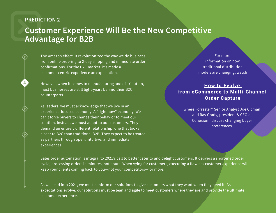**4**

# **Customer Experience Will Be the New Competitive Advantage for B2B**

The Amazon effect. It revolutionized the way we do business, from online ordering to 2-day shipping and immediate order confirmations. For the B2C market, it's made a customer-centric experience an expectation.

However, when it comes to manufacturing and distribution, most businesses are still light-years behind their B2C counterparts.

As leaders, we must acknowledge that we live in an experience-focused economy. A "right now" economy. We can't force buyers to change their behavior to meet our solution. Instead, we must adapt to our customers. They demand an entirely different relationship, one that looks closer to B2C than traditional B2B. They expect to be treated as partners through open, intuitive, and immediate experiences.

For more information on how traditional distribution models are changing, watch

#### **How to Evolve [from eCommerce to Multi-Channel](https://vimeo.com/471058978) Order Capture**

where Forrester® Senior Analyst Joe Cicman and Ray Grady, president & CEO at Conexiom, discuss changing buyer preferences.

Sales order automation is integral to 2021's call to better cater to and delight customers. It delivers a shortened order cycle, processing orders in minutes, not hours. When vying for customers, executing a flawless customer experience will keep your clients coming back to you—not your competitors—for more.

As we head into 2021, we must conform our solutions to give customers what they want when they need it. As expectations evolve, our solutions must be lean and agile to meet customers where they are and provide the ultimate customer experience.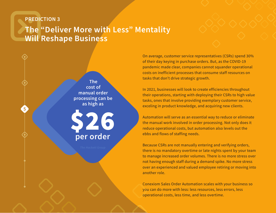# **The "Deliver More with Less" Mentality Will Reshape Business**



On average, customer service representatives (CSRs) spend 30% of their day keying in purchase orders. But, as the COVID-19 pandemic made clear, companies cannot squander operational costs on inefficient processes that consume staff resources on tasks that don't drive strategic growth.

In 2021, businesses will look to create efficiencies throughout their operations, starting with deploying their CSRs to high value tasks, ones that involve providing exemplary customer service, exceling in product knowledge, and acquiring new clients.

Automation will serve as an essential way to reduce or eliminate the manual work involved in order processing. Not only does it reduce operational costs, but automation also levels out the ebbs and flows of staffing needs.

Because CSRs are not manually entering and verifying orders, there is no mandatory overtime or late nights spent by your team to manage increased order volumes. There is no more stress over not having enough staff during a demand spike. No more stress over an experienced and valued employee retiring or moving into another role.

Conexiom Sales Order Automation scales with your business so you can do more with less: less resources, less errors, less operational costs, less time, and less overtime.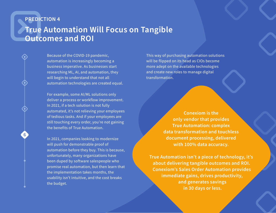**6**

# **True Automation Will Focus on Tangible Outcomes and ROI**

Because of the COVID-19 pandemic, automation is increasingly becoming a business imperative. As businesses start researching ML, AI, and automation, they will begin to understand that not all automation technologies are created equal.

For example, some AI/ML solutions only deliver a process or workflow improvement. In 2021, if a tech solution is not fully automated, it's not relieving your employees of tedious tasks. And if your employees are still touching every order, you're not gaining the benefits of True Automation.

In 2021, companies looking to modernize will push for demonstrable proof of automation before they buy. This is because, unfortunately, many organizations have been duped by software salespeople who promise real automation, but then learn that the implementation takes months, the usability isn't intuitive, and the cost breaks the budget.

This way of purchasing automation solutions will be flipped on its head as CIOs become more adept on the available technologies and create new roles to manage digital transformation.

> **Conexiom is the only vendor that provides True Automation: complex data transformation and touchless document processing, delivered with 100% data accuracy.**

**True Automation isn't a piece of technology, it's about delivering tangible outcomes and ROI. Conexiom's Sales Order Automation provides immediate gains, drives productivity, and generates savings in 30 days or less.**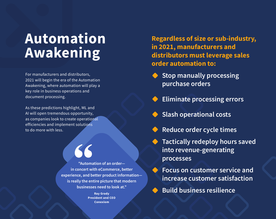# **Automation Awakening**

For manufacturers and distributors, 2021 will begin the era of the Automation Awakening, where automation will play a key role in business operations and document processing.

As these predictions highlight, ML and AI will open tremendous opportunity, as companies look to create operational efficiencies and implement solutions to do more with less.

> **"Automation of an order in concert with eCommerce, better experience, and better product information is really the entire picture that modern businesses need to look at."**

> > **Ray Grady President and CEO Conexiom**

**Regardless of size or sub-industry, in 2021, manufacturers and distributors must leverage sales order automation to:**

- **Stop manually processing purchase orders**
- **Eliminate processing errors**
- **Slash operational costs**
- **Reduce order cycle times**
- **Tactically redeploy hours saved into revenue-generating processes** 
	- **Focus on customer service and increase customer satisfaction**
	- **Build business resilience**